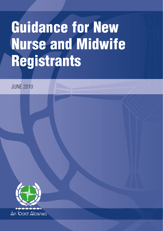# **Guidance for New Nurse and Midwife Registrants**

JUNE 2010

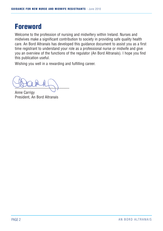## **Foreword**

Welcome to the profession of nursing and midwifery within Ireland. Nurses and midwives make a significant contribution to society in providing safe quality health care. An Bord Altranais has developed this guidance document to assist you as a first time registrant to understand your role as a professional nurse or midwife and give you an overview of the functions of the regulator (An Bord Altranais). I hope you find this publication useful.

Wishing you well in a rewarding and fulfilling career.

 $\frac{1}{\sqrt{2}}$ 

Anne Carrigy President, An Bord Altranais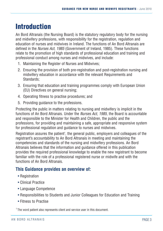## **Introduction**

An Bord Altranais (the Nursing Board) is the statutory regulatory body for the nursing and midwifery professions, with responsibility for the registration, regulation and education of nurses and midwives in Ireland. The functions of An Bord Altranais are defined in the Nurses Act, 1985 (Government of Ireland, 1985). These functions relate to the promotion of high standards of professional education and training and professional conduct among nurses and midwives, and include:

- 1. Maintaining the Register of Nurses and Midwives;
- 2. Ensuring the provision of both pre-registration and post-registration nursing and midwifery education in accordance with the relevant Requirements and Standards;
- 3. Ensuring that education and training programmes comply with European Union (EU) Directives on general nursing;
- 4. Operating fitness to practise procedures; and
- 5. Providing guidance to the professions.

Protecting the public in matters relating to nursing and midwifery is implicit in the functions of An Bord Altranais. Under the *Nurses Act. 1985*, the Board is accountable and responsible to the Minister for Health and Children, the public and the professions, for providing and maintaining a safe, appropriate and responsive system for professional regulation and guidance to nurses and midwives.

Registration assures the patient<sup>1</sup>, the general public, employers and colleagues of the registrant's accountability to An Bord Altranais in meeting and maintaining the competencies and standards of the nursing and midwifery professions. An Bord Altranais believes that the information and guidance offered in this publication provides the required professional knowledge to enable the new registrant to become familiar with the role of a professional registered nurse or midwife and with the functions of An Bord Altranais.

#### **This Guidance provides an overview of:**

- Registration
- Clinical Practice
- Language Competence
- Responsibilities to Students and Junior Colleagues for Education and Training
- Fitness to Practise

 $1$  The word patient also represents client and service user in this document.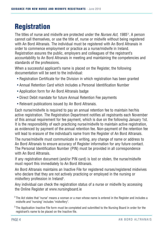## **Registration**

The titles of nurse and midwife are protected under the *Nurses Act, 1985'*. A person cannot call themselves, or use the title of, nurse or midwife without being registered with An Bord Altranais. The individual must be registered with An Bord Altranais in order to commence employment or practice as a nurse/midwife in Ireland. Registration assures the public, employers and colleagues of the registrant's accountability to An Bord Altranais in meeting and maintaining the competencies and standards of the professions.

When a successful applicant's name is placed on the Register, the following documentation will be sent to the individual:

- Registration Certificate for the Division in which registration has been granted
- Annual Retention Card which includes a Personal Identification Number
- Application form for An Bord Altranais badge
- Direct Debit mandate for future Annual Retention Fee payments
- Relevant publications issued by An Bord Altranais.

Each nurse/midwife is required to pay an annual retention fee to maintain her/his active registration. The Registration Department notifies all registrants each November of this annual requirement for fee payment, which is due on the following January 1st. It is the responsibility of each practicing nurse/midwife to maintain active registration, as evidenced by payment of the annual retention fee. Non-payment of the retention fee will lead to erasure of the individual's name from the Register of An Bord Altranais.

The nurse/midwife must communicate in writing, any change of name or address to An Bord Altranais to ensure accuracy of Register information for any future contact. The Personal Identification Number (PIN) must be provided in all correspondence with An Bord Altranais.

If any registration document (and/or PIN card) is lost or stolen, the nurse/midwife must report this immediately to An Bord Altranais.

An Bord Altranais maintains an Inactive File for registered nurses/registered midwives who declare that they are not actively practicing or employed in the nursing or midwifery profession in Ireland3 .

Any individual can check the registration status of a nurse or midwife by accessing the Online Register at www.nursingboard.ie

 $2$  The Act states that "nurse" means a woman or a man whose name is entered in the Register and includes a midwife and "nursing" includes "midwifery".

<sup>&</sup>lt;sup>3</sup> The Application Inactive File form must be completed and submitted to the Nursing Board in order for the registrant's name to be placed on the Inactive file.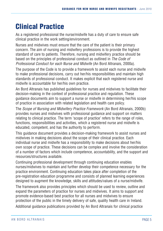## **Clinical Practice**

As a registered professional the nurse/midwife has a duty of care to ensure safe clinical practice in the work setting/environment.

Nurses and midwives must ensure that the care of the patient is their primary concern. The aim of nursing and midwifery professions is to provide the highest standard of care to patients. Therefore, nursing and midwifery practice should be based on the principles of professional conduct as outlined in The Code of Professional Conduct for each Nurse and Midwife (An Bord Altranais, 2000a).

The purpose of the Code is to provide a framework to assist each nurse and midwife to make professional decisions, carry out her/his responsibilities and maintain high standards of professional conduct. It makes explicit that each registered nurse and midwife is accountable for her/his own practice.

An Bord Altranais has published guidelines for nurses and midwives to facilitate their decision-making in the context of professional practice and regulation. These guidance documents aim to support a nurse or midwife in determining her/his scope of practice in association with related legislation and health care policy.

The Scope of Nursing and Midwifery Practice Framework (An Bord Altranais, 2000b) provides nurses and midwives with professional guidance and support on matters relating to clinical practice. The term 'scope of practice' refers to the range of roles, functions, responsibilities and activities, which a registered nurse and midwife is educated, competent, and has the authority to perform.

This guidance document provides a decision-making framework to assist nurses and midwives in making decisions about the scope of their clinical practice. Each individual nurse and midwife has a responsibility to make decisions about her/his own scope of practice. These decisions can be complex and involve the consideration of a number of factors which include competence, accountability, and the support and resources/structures available.

Continuing professional development through continuing education enables nurses/midwives to maintain and further develop their competence necessary for the practice environment. Continuing education takes place after completion of the pre-registration education programme and consists of planned learning experiences designed to augment the knowledge, skills and attitudes/values of a nurse/midwife.

The framework also provides principles which should be used to review, outline and expand the parameters of practice for nurses and midwives. It aims to support and promote evidence-based best practice for all nurses and midwives to ensure protection of the public in the timely delivery of safe, quality health care in Ireland.

Additional guidance publications provided by An Bord Altranais for clinical practice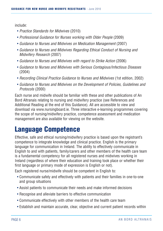include:

- Practice Standards for Midwives (2010)
- Professional Guidance for Nurses working with Older People (2009)
- Guidance to Nurses and Midwives on Medication Management (2007)
- Guidance to Nurses and Midwives Regarding Ethical Conduct of Nursing and Midwifery Research (2007)
- Guidance to Nurses and Midwives with regard to Strike Action (2006)
- Guidance to Nurses and Midwives with Serious Contagious/Infectious Diseases (2004)
- Recording Clinical Practice Guidance to Nurses and Midwives (1st edition, 2002)
- Guidance to Nurses and Midwives on the Development of Policies, Guidelines and Protocols (2000)

Each nurse and midwife should be familiar with these and other publications of An Bord Altranais relating to nursing and midwifery practice (see References and Additional Reading at the end of this Guidance). All are accessible to view and download via www.nursingboard.ie. Three interactive e-learning programmes covering the scope of nursing/midwifery practice, competence assessment and medication management are also available for viewing on the website.

#### **Language Competence**

Effective, safe and ethical nursing/midwifery practice is based upon the registrant's competence to integrate knowledge and clinical practice. English is the primary language for communication in Ireland. The ability to effectively communicate in English to and with patients, family/carers and other members of the health care team is a fundamental competency for all registered nurses and midwives working in Ireland (regardless of where their education and training took place or whether their first language or primary mode of expression is English or not).

Each registered nurse/midwife should be competent in English to:

- Communicate safely and effectively with patients and their families in one-to-one and group situations
- Assist patients to communicate their needs and make informed decisions
- Recognise and alleviate barriers to effective communication
- Communicate effectively with other members of the health care team
- Establish and maintain accurate, clear, objective and current patient records within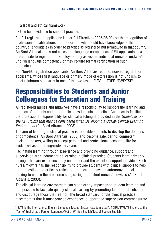a legal and ethical framework

• Use best evidence to support practice.

For EU registration applicants: Under EU Directive (2005/36/EC) on the recognition of professional qualifications, a nurse or midwife should have knowledge of the country's language(s) in order to practice as registered nurse/midwife in that country. An Bord Altranais does not assess the language competence of EU applicants as a prerequisite to registration. Employers may assess an individual nurse or midwife's English language competency or may require formal certification of such competence.

For Non-EU registration applicants: An Bord Altranais requires non-EU registration applicants, whose first language or primary mode of expression is not English, to meet minimum standards in one of the two tests, IELTS or TOEFL/TWE/TSE4 .

## **Responsibilities to Students and Junior Colleagues for Education and Training**

All registered nurses and midwives have a responsibility to support the learning and practice of students and junior colleagues in clinical practice. Guidance to facilitate the professions' responsibility for clinical teaching is provided in the Guidelines on the Key Points that may be considered when Developing a Quality Clinical Learning Environment (An Bord Altranais, 2003).

The aim of learning in clinical practice is to enable students to develop the domains of competence (An Bord Altranais, 2005) and become safe, caring, competent decision-makers, willing to accept personal and professional accountability for evidence-based nursing/midwifery care.

Facilitating learning through experience and providing guidance, support and supervision are fundamental to learning in clinical practice. Students learn primarily through the care experience they encounter and the extent of support provided. Each nurse/midwife has the responsibility to provide students with clinical support to help them question and critically reflect on practice and develop autonomy in decisionmaking to enable them become safe, caring competent nurses/midwives (An Bord Altranais, 2003).

The clinical learning environment can significantly impact upon student learning and it is possible to facilitate quality clinical learning by promoting factors that enhance and discourage those that restrict. The broad standard for the clinical practice placement is that it must provide experience, support and supervision commensurate

<sup>4</sup> IELTS is the International English Language Testing System (academic test). TOEFL/TWE/TSE refers to the Test of English as a Foreign Language/Test of Written English/Test of Spoken English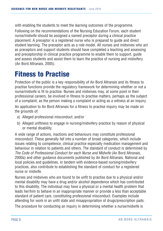with enabling the students to meet the learning outcomes of the programme. Following on the recommendations of the Nursing Education Forum, each student nurse/midwife should be assigned a named preceptor during a clinical practice placement. A preceptor is a registered nurse who is prepared to guide and direct student learning. The preceptor acts as a role model. All nurses and midwives who act as preceptors and support students should have completed a teaching and assessing and preceptorship in clinical practice programme to enable them to support, guide and assess students and assist them to learn the practice of nursing and midwifery (An Bord Altranais, 2005).

## **Fitness to Practise**

Protection of the public is a key responsibility of An Bord Altranais and its fitness to practise functions provide the regulatory framework for determining whether or not a nurse/midwife is fit to practise. Nurses and midwives may, at some point in their professional careers, be involved in fitness to practise matters, perhaps as the subject of a complaint, as the person making a complaint or acting as a witness at an inquiry.

An application to An Bord Altranais for a fitness to practise inquiry may be made on the grounds of:

- a) Alleged professional misconduct; and/or
- b) Alleged unfitness to engage in nursing/midwifery practice by reason of physical or mental disability.

A wide range of actions, inactions and behaviours may constitute professional misconduct. These generally fall into a number of broad categories, which include issues relating to competence, clinical practice especially medication management and behaviour in relation to patients and others. The standard of conduct is determined by The Code of Professional Conduct for each Nurse and Midwife (An Bord Altranais, 2000a) and other guidance documents published by An Bord Altranais. National and local policies and guidelines, in tandem with evidence-based nursing/midwifery practices, also contribute to establishing the standard of conduct for a registered nurse or midwife.

Nurses and midwives who are found to be unfit to practise due to a physical and/or mental disability may have a drug and/or alcohol dependence which has contributed to this disability. The individual may have a physical or a mental health problem that leads her/him to behave in an inappropriate manner or provide a less than acceptable standard of patient care, constituting professional misconduct. Examples include attending for work in an unfit state and misappropriation of drugs/prescription pads.

The procedure for conducting an inquiry in determining whether a nurse/midwife is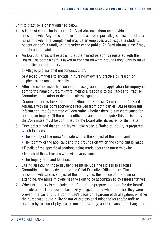unfit to practise is briefly outlined below.

- 1. A letter of complaint is sent to An Bord Altranais about an individual nurse/midwife. Anyone can make a complaint or report alleged misconduct of a nurse/midwife. The complainant may be an employer, a colleague, a student, patient or her/his family, or a member of the public. An Bord Altranais itself may initiate a complaint.
- 2. An Bord Altranais will establish that the named person is registered with the Board. The complainant is asked to confirm on what grounds they wish to make an application for inquiry:
	- a) Alleged professional misconduct; and/or
	- b) Alleged unfitness to engage in nursing/midwifery practice by reason of physical or mental disability
- 3. After the complainant has identified these grounds, the application for inquiry is sent to the named nurse/midwife inviting a response to the Fitness to Practise Committee in relation to the complaint/allegations.
- 4. Documentation is forwarded to the Fitness to Practise Committee of An Bord Altranais with the correspondence received from both parties. Based upon this information, the Committee will determine whether there is sufficient cause for holding an inquiry. (If there is insufficient cause for an inquiry this decision by the Committee must be confirmed by the Board after its review of the matter.)
- 5. Once determined that an inquiry will take place, a Notice of Inquiry is prepared which includes:
	- The identity of the nurse/midwife who is the subject of the complaint
	- The identity of the applicant and the grounds on which the complaint is made
	- Details of the specific allegations being made about the nurse/midwife
	- Names of the witnesses who will give evidence
	- The Inquiry date and location.
- 6. During an inquiry, those usually present include: the Fitness to Practise Committee, its legal advisor and the Chief Executive Officer team. The nurse/midwife who is subject of the inquiry has the choice of attending or not. If attending, the nurse/midwife has the right to be accompanied by representatives.
- 7. When the inquiry is concluded, the Committee prepares a report for the Board's consideration. The report details every allegation and whether or not they were proven; the basis for the Committee's decision regarding each allegation; whether the nurse was found guilty or not of professional misconduct and/or unfit to practise by reason of physical or mental disability; and the sanctions, if any, it is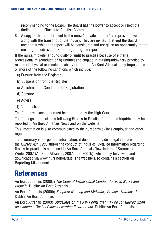recommending to the Board. The Board has the power to accept or reject the findings of the Fitness to Practise Committee.

8. A copy of the report is sent to the nurse/midwife and her/his representatives, along with the transcript of the inquiry. They are invited to attend the Board meeting at which the report will be considered and are given an opportunity at the meeting to address the Board regarding the report.

If the nurse/midwife is found guilty or unfit to practise because of either a) professional misconduct; or b) unfitness to engage in nursing/midwifery practice by reason of physical or mental disability or c) both, An Bord Altranais may impose one or more of the following sanctions which include:

- a) Erasure from the Register
- b) Suspension from the Register
- c) Attachment of Conditions to Registration
- d) Censure
- e) Advise
- f) Admonish.

The first three sanctions must be confirmed by the High Court.

The findings and decisions following Fitness to Practise Committee Inquiries may be reported in An Bord Altranais News and on the website.

This information is also communicated to the nurse's/midwife's employer and other regulators.

This summary is for general information; it does not provide a legal interpretation of the Nurses Act, 1985 and/or the conduct of inquiries. Detailed information regarding fitness to practise is contained in An Bord Altranais Newsletters of Summer and Winter 2007 (An Bord Altranais, 2007a and 2007b), which may be viewed and downloaded via www.nursingboard.ie. The website also contains a section on Reporting Misconduct.

## **References**

An Bord Altranais (2000a) The Code of Professional Conduct for each Nurse and Midwife. Dublin: An Bord Altranais.

An Bord Altranais (2000b) Scope of Nursing and Midwifery Practice Framework. Dublin: An Bord Altranais.

An Bord Altranais (2003) Guidelines on the Key Points that may be considered when developing a Quality Clinical Learning Environment. Dublin: An Bord Altranais.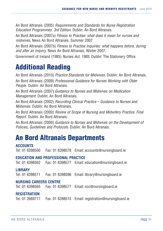An Bord Altranais (2005) Requirements and Standards for Nurse Registration Education Programmes. 3rd Edition. Dublin: An Bord Altranais.

An Bord Altranais (2007a) Fitness to Practise: what does it mean for nurses and midwives, News An Bord Altranais, Summer 2007.

An Bord Altranais (2007b) Fitness to Practise Inquiries: what happens before, during and after an Inquiry, News An Bord Altranais, Winter 2007.

Government of Ireland (1985) Nurses Act, 1985. Dublin: The Stationery Office.

## **Additional Reading**

An Bord Altranais (2010) Practice Standards for Midwives. Dublin: An Bord Altranais.

An Bord Altranais (2009) Professional Guidance for Nurses Working with Older People. Dublin: An Bord Altranais.

An Bord Altranais (2007) Guidance to Nurses and Midwives on Medication Management. Dublin: An Bord Altranais.

An Bord Altranais (2002) Recording Clinical Practice – Guidance to Nurses and Midwives. Dublin: An Bord Altranais.

An Bord Altranais (2000) Review of Scope of Nursing and Midwifery Practice. Final Report. Dublin: An Bord Altranais.

An Bord Altranais (2000) Guidance to Nurses and Midwives on the Development of Policies, Guidelines and Protocols. Dublin: An Bord Altranais.

#### **An Bord Altranais Departments**

#### **ACCOUNTS**

Tel: 01 6398500 Fax: 01 6398578 Email: accounts@nursingboard.ie

#### **EDUCATION AND PROFESSIONAL PRACTICE**

Tel: 01 6398562 Fax: 01 6398577 Email: education@nursingboard.ie

#### **LIBRARY**

Tel: 01 6398511 Fax: 01 6398596 Email: library@nursingboard.ie

#### **NURSING CAREERS CENTRE**

Tel: 01 6398565 Fax: 01 6398577 Email: ncc@nursingboard.ie

#### **REGISTRATION**

Tel: 01 2669777 Fax: 01 6398515 Email: registration@nursingboard.ie